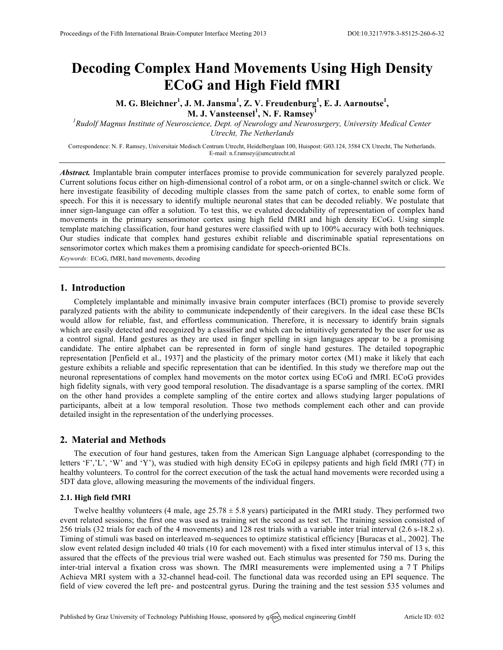# **Decoding Complex Hand Movements Using High Density ECoG and High Field fMRI**

**M. G. Bleichner<sup>1</sup> , J. M. Jansma<sup>1</sup> , Z. V. Freudenburg<sup>1</sup> , E. J. Aarnoutse<sup>1</sup> ,** 

**M. J. Vansteensel<sup>1</sup> , N. F. Ramsey<sup>1</sup>**

*1 Rudolf Magnus Institute of Neuroscience, Dept. of Neurology and Neurosurgery, University Medical Center Utrecht, The Netherlands*

Correspondence: N. F. Ramsey, Universitair Medisch Centrum Utrecht, Heidelberglaan 100, Huispost: G03.124, 3584 CX Utrecht, The Netherlands. E-mail: n.f.ramsey@umcutrecht.nl

*Abstract.* Implantable brain computer interfaces promise to provide communication for severely paralyzed people. Current solutions focus either on high-dimensional control of a robot arm, or on a single-channel switch or click. We here investigate feasibility of decoding multiple classes from the same patch of cortex, to enable some form of speech. For this it is necessary to identify multiple neuronal states that can be decoded reliably. We postulate that inner sign-language can offer a solution. To test this, we evaluted decodability of representation of complex hand movements in the primary sensorimotor cortex using high field fMRI and high density ECoG. Using simple template matching classification, four hand gestures were classified with up to 100% accuracy with both techniques. Our studies indicate that complex hand gestures exhibit reliable and discriminable spatial representations on sensorimotor cortex which makes them a promising candidate for speech-oriented BCIs.

*Keywords:* ECoG, fMRI, hand movements, decoding

## **1. Introduction**

Completely implantable and minimally invasive brain computer interfaces (BCI) promise to provide severely paralyzed patients with the ability to communicate independently of their caregivers. In the ideal case these BCIs would allow for reliable, fast, and effortless communication. Therefore, it is necessary to identify brain signals which are easily detected and recognized by a classifier and which can be intuitively generated by the user for use as a control signal. Hand gestures as they are used in finger spelling in sign languages appear to be a promising candidate. The entire alphabet can be represented in form of single hand gestures. The detailed topographic representation [Penfield et al., 1937] and the plasticity of the primary motor cortex (M1) make it likely that each gesture exhibits a reliable and specific representation that can be identified. In this study we therefore map out the neuronal representations of complex hand movements on the motor cortex using ECoG and fMRI. ECoG provides high fidelity signals, with very good temporal resolution. The disadvantage is a sparse sampling of the cortex. fMRI on the other hand provides a complete sampling of the entire cortex and allows studying larger populations of participants, albeit at a low temporal resolution. Those two methods complement each other and can provide detailed insight in the representation of the underlying processes.

# **2. Material and Methods**

The execution of four hand gestures, taken from the American Sign Language alphabet (corresponding to the letters 'F','L', 'W' and 'Y'), was studied with high density ECoG in epilepsy patients and high field fMRI (7T) in healthy volunteers. To control for the correct execution of the task the actual hand movements were recorded using a 5DT data glove, allowing measuring the movements of the individual fingers.

### **2.1. High field fMRI**

Twelve healthy volunteers (4 male, age  $25.78 \pm 5.8$  years) participated in the fMRI study. They performed two event related sessions; the first one was used as training set the second as test set. The training session consisted of 256 trials (32 trials for each of the 4 movements) and 128 rest trials with a variable inter trial interval (2.6 s-18.2 s). Timing of stimuli was based on interleaved m-sequences to optimize statistical efficiency [Buracas et al., 2002]. The slow event related design included 40 trials (10 for each movement) with a fixed inter stimulus interval of 13 s, this assured that the effects of the previous trial were washed out. Each stimulus was presented for 750 ms. During the inter-trial interval a fixation cross was shown. The fMRI measurements were implemented using a 7 T Philips Achieva MRI system with a 32-channel head-coil. The functional data was recorded using an EPI sequence. The field of view covered the left pre- and postcentral gyrus. During the training and the test session 535 volumes and